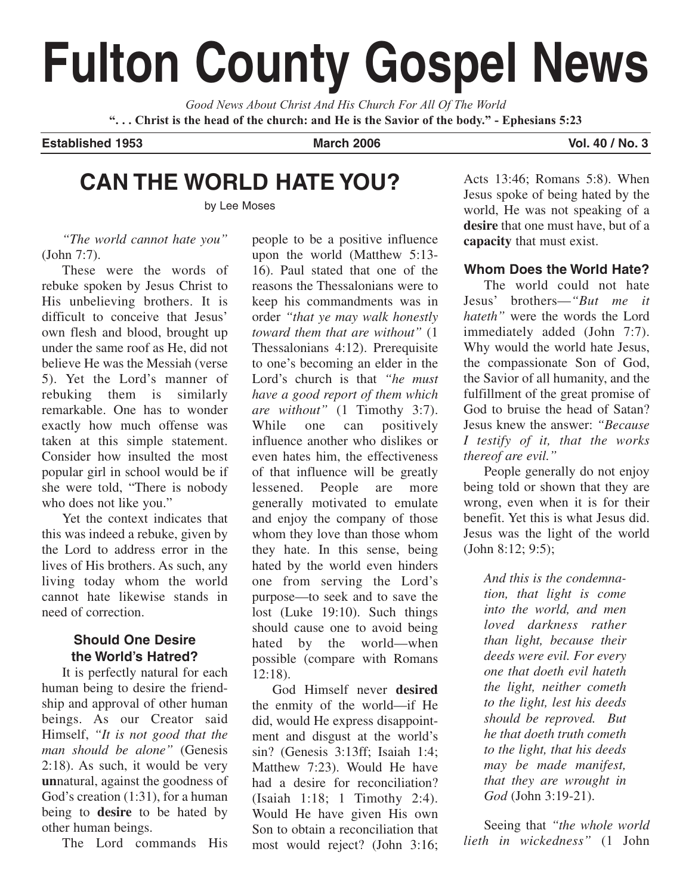# **Fulton County Gospel News**

*Good News About Christ And His Church For All Of The World* **". . . Christ is the head of the church: and He is the Savior of the body." - Ephesians 5:23**

**Established 1953 March 2006 Vol. 40 / No. 3**

# **CAN THE WORLD HATE YOU?**

by Lee Moses

*"The world cannot hate you"* (John 7:7).

These were the words of rebuke spoken by Jesus Christ to His unbelieving brothers. It is difficult to conceive that Jesus' own flesh and blood, brought up under the same roof as He, did not believe He was the Messiah (verse 5). Yet the Lord's manner of rebuking them is similarly remarkable. One has to wonder exactly how much offense was taken at this simple statement. Consider how insulted the most popular girl in school would be if she were told, "There is nobody who does not like you."

Yet the context indicates that this was indeed a rebuke, given by the Lord to address error in the lives of His brothers. As such, any living today whom the world cannot hate likewise stands in need of correction.

# **Should One Desire the World's Hatred?**

It is perfectly natural for each human being to desire the friendship and approval of other human beings. As our Creator said Himself, *"It is not good that the man should be alone"* (Genesis 2:18). As such, it would be very **un**natural, against the goodness of God's creation (1:31), for a human being to **desire** to be hated by other human beings.

The Lord commands His

people to be a positive influence upon the world (Matthew 5:13- 16). Paul stated that one of the reasons the Thessalonians were to keep his commandments was in order *"that ye may walk honestly toward them that are without"* (1 Thessalonians 4:12). Prerequisite to one's becoming an elder in the Lord's church is that *"he must have a good report of them which are without"* (1 Timothy 3:7). While one can positively influence another who dislikes or even hates him, the effectiveness of that influence will be greatly lessened. People are more generally motivated to emulate and enjoy the company of those whom they love than those whom they hate. In this sense, being hated by the world even hinders one from serving the Lord's purpose—to seek and to save the lost (Luke 19:10). Such things should cause one to avoid being hated by the world—when possible (compare with Romans 12:18).

God Himself never **desired** the enmity of the world—if He did, would He express disappointment and disgust at the world's sin? (Genesis 3:13ff; Isaiah 1:4; Matthew 7:23). Would He have had a desire for reconciliation? (Isaiah 1:18; 1 Timothy 2:4). Would He have given His own Son to obtain a reconciliation that most would reject? (John 3:16; Acts 13:46; Romans 5:8). When Jesus spoke of being hated by the world, He was not speaking of a **desire** that one must have, but of a **capacity** that must exist.

# **Whom Does the World Hate?**

The world could not hate Jesus' brothers—*"But me it hateth"* were the words the Lord immediately added (John 7:7). Why would the world hate Jesus, the compassionate Son of God, the Savior of all humanity, and the fulfillment of the great promise of God to bruise the head of Satan? Jesus knew the answer: *"Because I testify of it, that the works thereof are evil."*

People generally do not enjoy being told or shown that they are wrong, even when it is for their benefit. Yet this is what Jesus did. Jesus was the light of the world (John 8:12; 9:5);

> *And this is the condemnation, that light is come into the world, and men loved darkness rather than light, because their deeds were evil. For every one that doeth evil hateth the light, neither cometh to the light, lest his deeds should be reproved. But he that doeth truth cometh to the light, that his deeds may be made manifest, that they are wrought in God* (John 3:19-21).

Seeing that *"the whole world lieth in wickedness"* (1 John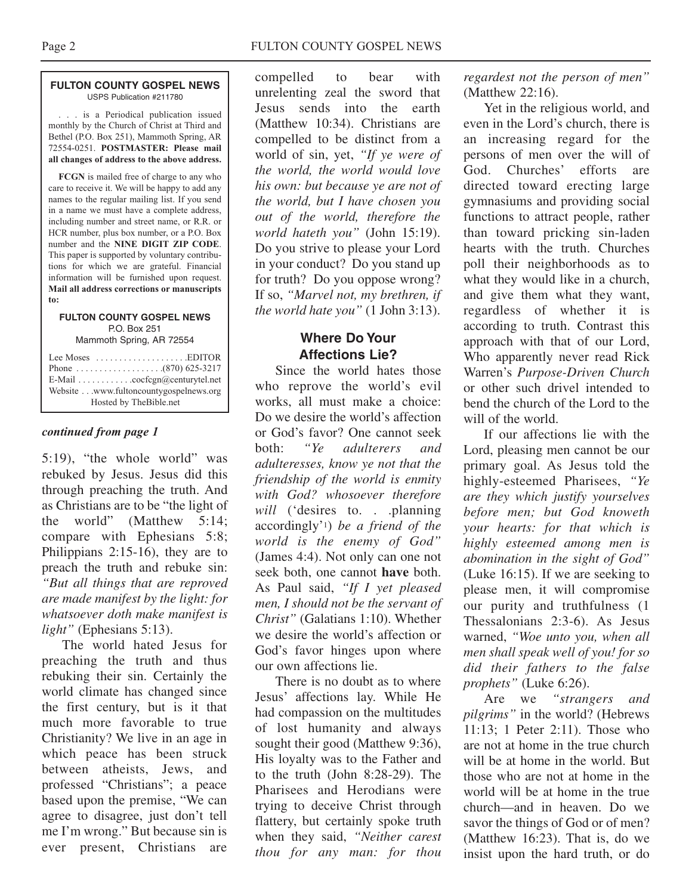#### **FULTON COUNTY GOSPEL NEWS** USPS Publication #211780

. . . is a Periodical publication issued monthly by the Church of Christ at Third and Bethel (P.O. Box 251), Mammoth Spring, AR 72554-0251. **POSTMASTER: Please mail all changes of address to the above address.**

**FCGN** is mailed free of charge to any who care to receive it. We will be happy to add any names to the regular mailing list. If you send in a name we must have a complete address, including number and street name, or R.R. or HCR number, plus box number, or a P.O. Box number and the **NINE DIGIT ZIP CODE**. This paper is supported by voluntary contributions for which we are grateful. Financial information will be furnished upon request. **Mail all address corrections or manuscripts to:**

#### **FULTON COUNTY GOSPEL NEWS** P.O. Box 251

Mammoth Spring, AR 72554

## *continued from page 1*

5:19), "the whole world" was rebuked by Jesus. Jesus did this through preaching the truth. And as Christians are to be "the light of the world" (Matthew 5:14; compare with Ephesians 5:8; Philippians 2:15-16), they are to preach the truth and rebuke sin: *"But all things that are reproved are made manifest by the light: for whatsoever doth make manifest is light"* (Ephesians 5:13).

The world hated Jesus for preaching the truth and thus rebuking their sin. Certainly the world climate has changed since the first century, but is it that much more favorable to true Christianity? We live in an age in which peace has been struck between atheists, Jews, and professed "Christians"; a peace based upon the premise, "We can agree to disagree, just don't tell me I'm wrong." But because sin is ever present, Christians are

compelled to bear with unrelenting zeal the sword that Jesus sends into the earth (Matthew 10:34). Christians are compelled to be distinct from a world of sin, yet, *"If ye were of the world, the world would love his own: but because ye are not of the world, but I have chosen you out of the world, therefore the world hateth you"* (John 15:19). Do you strive to please your Lord in your conduct? Do you stand up for truth? Do you oppose wrong? If so, *"Marvel not, my brethren, if the world hate you"* (1 John 3:13).

# **Where Do Your Affections Lie?**

Since the world hates those who reprove the world's evil works, all must make a choice: Do we desire the world's affection or God's favor? One cannot seek both: *"Ye adulterers and adulteresses, know ye not that the friendship of the world is enmity with God? whosoever therefore* will ('desires to. . .planning accordingly'1) *be a friend of the world is the enemy of God"* (James 4:4). Not only can one not seek both, one cannot **have** both. As Paul said, *"If I yet pleased men, I should not be the servant of Christ"* (Galatians 1:10). Whether we desire the world's affection or God's favor hinges upon where our own affections lie.

There is no doubt as to where Jesus' affections lay. While He had compassion on the multitudes of lost humanity and always sought their good (Matthew 9:36), His loyalty was to the Father and to the truth (John 8:28-29). The Pharisees and Herodians were trying to deceive Christ through flattery, but certainly spoke truth when they said, *"Neither carest thou for any man: for thou* *regardest not the person of men"* (Matthew 22:16).

Yet in the religious world, and even in the Lord's church, there is an increasing regard for the persons of men over the will of God. Churches' efforts are directed toward erecting large gymnasiums and providing social functions to attract people, rather than toward pricking sin-laden hearts with the truth. Churches poll their neighborhoods as to what they would like in a church, and give them what they want, regardless of whether it is according to truth. Contrast this approach with that of our Lord, Who apparently never read Rick Warren's *Purpose-Driven Church* or other such drivel intended to bend the church of the Lord to the will of the world.

If our affections lie with the Lord, pleasing men cannot be our primary goal. As Jesus told the highly-esteemed Pharisees, *"Ye are they which justify yourselves before men; but God knoweth your hearts: for that which is highly esteemed among men is abomination in the sight of God"* (Luke 16:15). If we are seeking to please men, it will compromise our purity and truthfulness (1 Thessalonians 2:3-6). As Jesus warned, *"Woe unto you, when all men shall speak well of you! for so did their fathers to the false prophets"* (Luke 6:26).

Are we *"strangers and pilgrims"* in the world? (Hebrews 11:13; 1 Peter 2:11). Those who are not at home in the true church will be at home in the world. But those who are not at home in the world will be at home in the true church—and in heaven. Do we savor the things of God or of men? (Matthew 16:23). That is, do we insist upon the hard truth, or do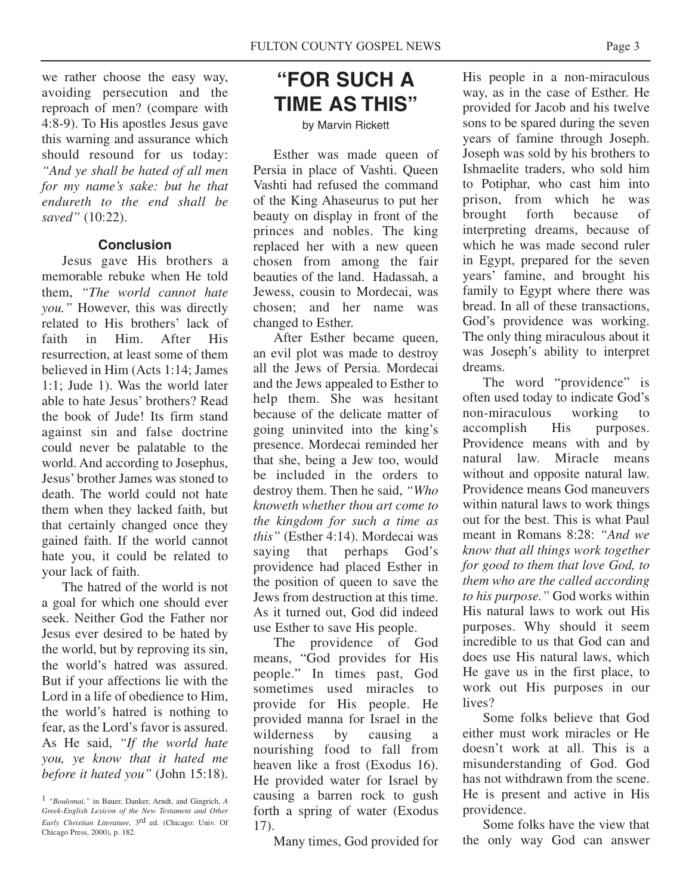we rather choose the easy way, avoiding persecution and the reproach of men? (compare with 4:8-9). To His apostles Jesus gave this warning and assurance which should resound for us today: *"And ye shall be hated of all men for my name's sake: but he that endureth to the end shall be saved"* (10:22).

## **Conclusion**

Jesus gave His brothers a memorable rebuke when He told them, *"The world cannot hate you."* However, this was directly related to His brothers' lack of faith in Him. After His resurrection, at least some of them believed in Him (Acts 1:14; James 1:1; Jude 1). Was the world later able to hate Jesus' brothers? Read the book of Jude! Its firm stand against sin and false doctrine could never be palatable to the world. And according to Josephus, Jesus' brother James was stoned to death. The world could not hate them when they lacked faith, but that certainly changed once they gained faith. If the world cannot hate you, it could be related to your lack of faith.

The hatred of the world is not a goal for which one should ever seek. Neither God the Father nor Jesus ever desired to be hated by the world, but by reproving its sin, the world's hatred was assured. But if your affections lie with the Lord in a life of obedience to Him, the world's hatred is nothing to fear, as the Lord's favor is assured. As He said, *"If the world hate you, ye know that it hated me before it hated you"* (John 15:18).

# **"FOR SUCH A TIME AS THIS"**

#### by Marvin Rickett

Esther was made queen of Persia in place of Vashti. Queen Vashti had refused the command of the King Ahaseurus to put her beauty on display in front of the princes and nobles. The king replaced her with a new queen chosen from among the fair beauties of the land. Hadassah, a Jewess, cousin to Mordecai, was chosen; and her name was changed to Esther.

After Esther became queen, an evil plot was made to destroy all the Jews of Persia. Mordecai and the Jews appealed to Esther to help them. She was hesitant because of the delicate matter of going uninvited into the king's presence. Mordecai reminded her that she, being a Jew too, would be included in the orders to destroy them. Then he said, *"Who knoweth whether thou art come to the kingdom for such a time as this"* (Esther 4:14). Mordecai was saying that perhaps God's providence had placed Esther in the position of queen to save the Jews from destruction at this time. As it turned out, God did indeed use Esther to save His people.

The providence of God means, "God provides for His people." In times past, God sometimes used miracles to provide for His people. He provided manna for Israel in the wilderness by causing a nourishing food to fall from heaven like a frost (Exodus 16). He provided water for Israel by causing a barren rock to gush forth a spring of water (Exodus 17).

Many times, God provided for

His people in a non-miraculous way, as in the case of Esther. He provided for Jacob and his twelve sons to be spared during the seven years of famine through Joseph. Joseph was sold by his brothers to Ishmaelite traders, who sold him to Potiphar, who cast him into prison, from which he was brought forth because of interpreting dreams, because of which he was made second ruler in Egypt, prepared for the seven years' famine, and brought his family to Egypt where there was bread. In all of these transactions, God's providence was working. The only thing miraculous about it was Joseph's ability to interpret dreams.

The word "providence" is often used today to indicate God's non-miraculous working to accomplish His purposes. Providence means with and by natural law. Miracle means without and opposite natural law. Providence means God maneuvers within natural laws to work things out for the best. This is what Paul meant in Romans 8:28: *"And we know that all things work together for good to them that love God, to them who are the called according to his purpose."* God works within His natural laws to work out His purposes. Why should it seem incredible to us that God can and does use His natural laws, which He gave us in the first place, to work out His purposes in our lives?

Some folks believe that God either must work miracles or He doesn't work at all. This is a misunderstanding of God. God has not withdrawn from the scene. He is present and active in His providence.

Some folks have the view that the only way God can answer

<sup>1</sup> *"Boulomai,"* in Bauer, Danker, Arndt, and Gingrich, *A Greek-English Lexicon of the New Testament and Other Early Christian Literature*, 3rd ed. (Chicago: Univ. Of Chicago Press, 2000), p. 182.